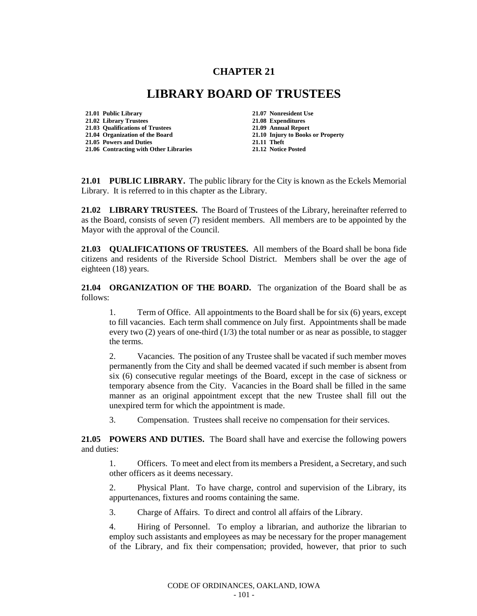## **CHAPTER 21**

## **LIBRARY BOARD OF TRUSTEES**

**21.01 Public Library 21.07 Nonresident Use 21.02 Library Trustees 21.08 Expenditures 21.03 Qualifications of Trustees 21.04 Organization of the Board 21.10 Injury to Books or Property 21.05 Powers and Duties 21.06 Contracting with Other Libraries 21.12 Notice Posted**

**21.01 PUBLIC LIBRARY.** The public library for the City is known as the Eckels Memorial Library. It is referred to in this chapter as the Library.

**21.02 LIBRARY TRUSTEES.** The Board of Trustees of the Library, hereinafter referred to as the Board, consists of seven (7) resident members. All members are to be appointed by the Mayor with the approval of the Council.

**21.03 QUALIFICATIONS OF TRUSTEES.** All members of the Board shall be bona fide citizens and residents of the Riverside School District. Members shall be over the age of eighteen (18) years.

**21.04 ORGANIZATION OF THE BOARD.** The organization of the Board shall be as follows:

1. Term of Office. All appointments to the Board shall be for six (6) years, except to fill vacancies. Each term shall commence on July first. Appointments shall be made every two  $(2)$  years of one-third  $(1/3)$  the total number or as near as possible, to stagger the terms.

2. Vacancies. The position of any Trustee shall be vacated if such member moves permanently from the City and shall be deemed vacated if such member is absent from six (6) consecutive regular meetings of the Board, except in the case of sickness or temporary absence from the City. Vacancies in the Board shall be filled in the same manner as an original appointment except that the new Trustee shall fill out the unexpired term for which the appointment is made.

3. Compensation. Trustees shall receive no compensation for their services.

**21.05 POWERS AND DUTIES.** The Board shall have and exercise the following powers and duties:

1. Officers. To meet and elect from its members a President, a Secretary, and such other officers as it deems necessary.

2. Physical Plant. To have charge, control and supervision of the Library, its appurtenances, fixtures and rooms containing the same.

3. Charge of Affairs. To direct and control all affairs of the Library.

4. Hiring of Personnel. To employ a librarian, and authorize the librarian to employ such assistants and employees as may be necessary for the proper management of the Library, and fix their compensation; provided, however, that prior to such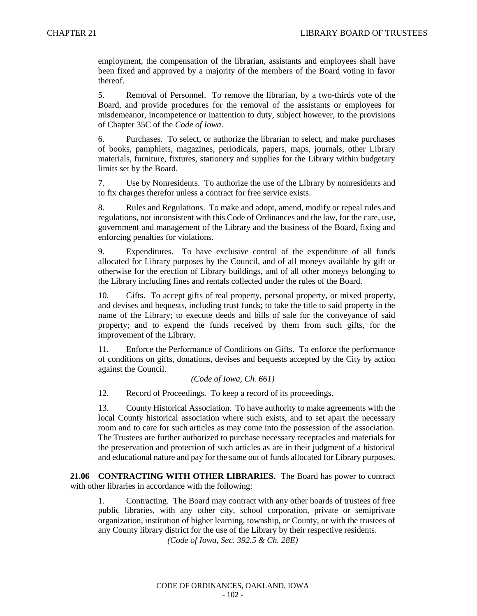employment, the compensation of the librarian, assistants and employees shall have been fixed and approved by a majority of the members of the Board voting in favor thereof.

5. Removal of Personnel. To remove the librarian, by a two-thirds vote of the Board, and provide procedures for the removal of the assistants or employees for misdemeanor, incompetence or inattention to duty, subject however, to the provisions of Chapter 35C of the *Code of Iowa*.

6. Purchases. To select, or authorize the librarian to select, and make purchases of books, pamphlets, magazines, periodicals, papers, maps, journals, other Library materials, furniture, fixtures, stationery and supplies for the Library within budgetary limits set by the Board.

7. Use by Nonresidents. To authorize the use of the Library by nonresidents and to fix charges therefor unless a contract for free service exists.

8. Rules and Regulations. To make and adopt, amend, modify or repeal rules and regulations, not inconsistent with this Code of Ordinances and the law, for the care, use, government and management of the Library and the business of the Board, fixing and enforcing penalties for violations.

9. Expenditures. To have exclusive control of the expenditure of all funds allocated for Library purposes by the Council, and of all moneys available by gift or otherwise for the erection of Library buildings, and of all other moneys belonging to the Library including fines and rentals collected under the rules of the Board.

10. Gifts. To accept gifts of real property, personal property, or mixed property, and devises and bequests, including trust funds; to take the title to said property in the name of the Library; to execute deeds and bills of sale for the conveyance of said property; and to expend the funds received by them from such gifts, for the improvement of the Library.

11. Enforce the Performance of Conditions on Gifts. To enforce the performance of conditions on gifts, donations, devises and bequests accepted by the City by action against the Council.

## *(Code of Iowa, Ch. 661)*

12. Record of Proceedings. To keep a record of its proceedings.

13. County Historical Association. To have authority to make agreements with the local County historical association where such exists, and to set apart the necessary room and to care for such articles as may come into the possession of the association. The Trustees are further authorized to purchase necessary receptacles and materials for the preservation and protection of such articles as are in their judgment of a historical and educational nature and pay for the same out of funds allocated for Library purposes.

**21.06 CONTRACTING WITH OTHER LIBRARIES.** The Board has power to contract with other libraries in accordance with the following:

1. Contracting. The Board may contract with any other boards of trustees of free public libraries, with any other city, school corporation, private or semiprivate organization, institution of higher learning, township, or County, or with the trustees of any County library district for the use of the Library by their respective residents.

*(Code of Iowa, Sec. 392.5 & Ch. 28E)*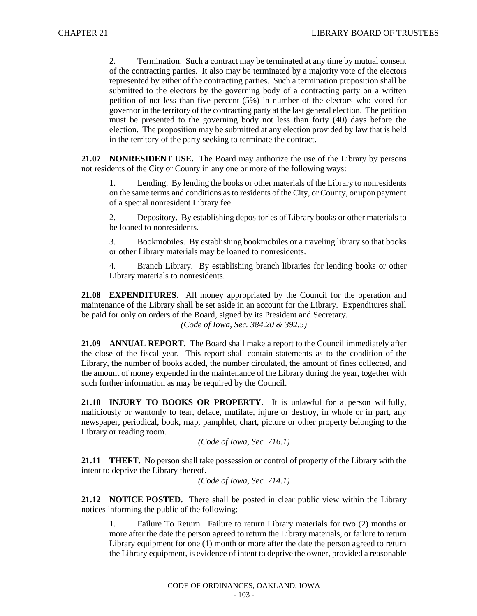2. Termination. Such a contract may be terminated at any time by mutual consent of the contracting parties. It also may be terminated by a majority vote of the electors represented by either of the contracting parties. Such a termination proposition shall be submitted to the electors by the governing body of a contracting party on a written petition of not less than five percent (5%) in number of the electors who voted for governor in the territory of the contracting party at the last general election. The petition must be presented to the governing body not less than forty (40) days before the election. The proposition may be submitted at any election provided by law that is held in the territory of the party seeking to terminate the contract.

**21.07 NONRESIDENT USE.** The Board may authorize the use of the Library by persons not residents of the City or County in any one or more of the following ways:

1. Lending. By lending the books or other materials of the Library to nonresidents on the same terms and conditions as to residents of the City, or County, or upon payment of a special nonresident Library fee.

2. Depository. By establishing depositories of Library books or other materials to be loaned to nonresidents.

3. Bookmobiles. By establishing bookmobiles or a traveling library so that books or other Library materials may be loaned to nonresidents.

4. Branch Library. By establishing branch libraries for lending books or other Library materials to nonresidents.

**21.08 EXPENDITURES.** All money appropriated by the Council for the operation and maintenance of the Library shall be set aside in an account for the Library. Expenditures shall be paid for only on orders of the Board, signed by its President and Secretary. *(Code of Iowa, Sec. 384.20 & 392.5)*

**21.09 ANNUAL REPORT.** The Board shall make a report to the Council immediately after the close of the fiscal year. This report shall contain statements as to the condition of the Library, the number of books added, the number circulated, the amount of fines collected, and the amount of money expended in the maintenance of the Library during the year, together with such further information as may be required by the Council.

**21.10 INJURY TO BOOKS OR PROPERTY.** It is unlawful for a person willfully, maliciously or wantonly to tear, deface, mutilate, injure or destroy, in whole or in part, any newspaper, periodical, book, map, pamphlet, chart, picture or other property belonging to the Library or reading room.

```
(Code of Iowa, Sec. 716.1)
```
**21.11 THEFT.** No person shall take possession or control of property of the Library with the intent to deprive the Library thereof.

*(Code of Iowa, Sec. 714.1)*

**21.12 NOTICE POSTED.** There shall be posted in clear public view within the Library notices informing the public of the following:

1. Failure To Return. Failure to return Library materials for two (2) months or more after the date the person agreed to return the Library materials, or failure to return Library equipment for one (1) month or more after the date the person agreed to return the Library equipment, is evidence of intent to deprive the owner, provided a reasonable